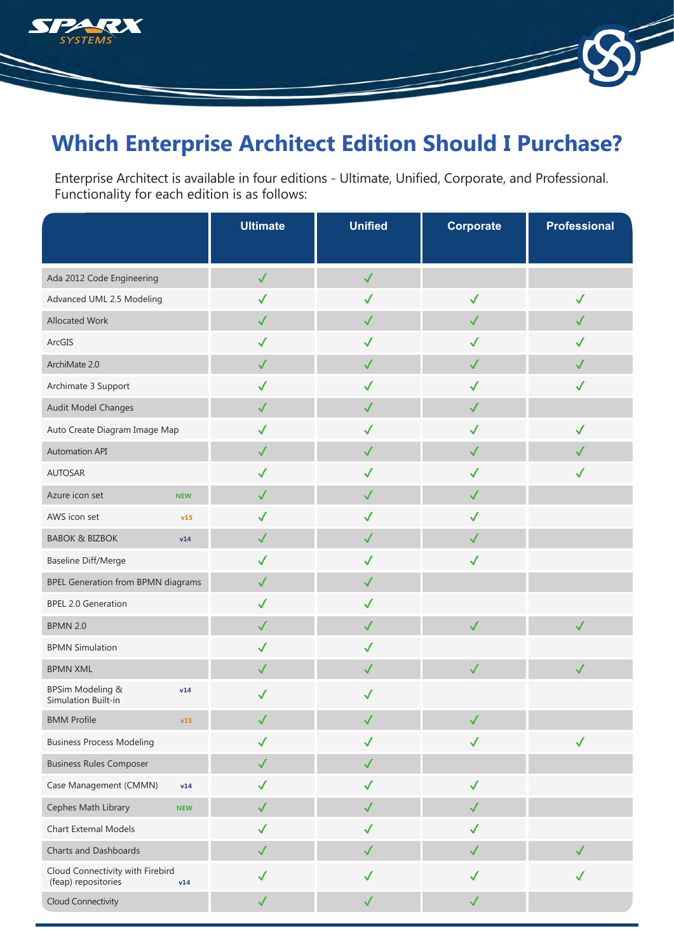

# **Which Enterprise Architect Edition Should I Purchase?**

Enterprise Architect is available in four editions - Ultimate, Unified, Corporate, and Professional. Functionality for each edition is as follows:

|                                                         |            | <b>Ultimate</b> | <b>Unified</b> | Corporate    | <b>Professional</b> |
|---------------------------------------------------------|------------|-----------------|----------------|--------------|---------------------|
|                                                         |            |                 |                |              |                     |
| Ada 2012 Code Engineering                               |            | $\checkmark$    | $\checkmark$   |              |                     |
| Advanced UML 2.5 Modeling                               |            | $\checkmark$    | $\checkmark$   | $\checkmark$ | $\checkmark$        |
| Allocated Work                                          |            | $\checkmark$    | $\checkmark$   | $\checkmark$ | $\checkmark$        |
| ArcGIS                                                  |            | $\checkmark$    | $\checkmark$   | $\checkmark$ | $\checkmark$        |
| ArchiMate 2.0                                           |            | $\checkmark$    | $\checkmark$   | $\checkmark$ | $\checkmark$        |
| Archimate 3 Support                                     |            | $\checkmark$    | $\checkmark$   | $\checkmark$ | $\checkmark$        |
| Audit Model Changes                                     |            | $\checkmark$    | $\checkmark$   | $\checkmark$ |                     |
| Auto Create Diagram Image Map                           |            | $\checkmark$    | $\checkmark$   | $\checkmark$ | $\checkmark$        |
| <b>Automation API</b>                                   |            | $\checkmark$    | $\checkmark$   | $\checkmark$ | $\checkmark$        |
| <b>AUTOSAR</b>                                          |            | $\checkmark$    | $\checkmark$   | $\checkmark$ | $\checkmark$        |
| Azure icon set                                          | <b>NEW</b> | $\checkmark$    | $\checkmark$   | $\checkmark$ |                     |
| AWS icon set                                            | v15        | $\checkmark$    | $\checkmark$   | $\checkmark$ |                     |
| <b>BABOK &amp; BIZBOK</b>                               | v14        | $\checkmark$    | $\checkmark$   | $\checkmark$ |                     |
| <b>Baseline Diff/Merge</b>                              |            | $\checkmark$    | $\checkmark$   | $\checkmark$ |                     |
| BPEL Generation from BPMN diagrams                      |            | $\checkmark$    | $\checkmark$   |              |                     |
| <b>BPEL 2.0 Generation</b>                              |            | $\checkmark$    | $\checkmark$   |              |                     |
| <b>BPMN 2.0</b>                                         |            | $\checkmark$    | $\checkmark$   | $\checkmark$ | $\checkmark$        |
| <b>BPMN Simulation</b>                                  |            | $\checkmark$    | $\checkmark$   |              |                     |
| <b>BPMN XML</b>                                         |            | $\checkmark$    | $\checkmark$   | $\checkmark$ | $\checkmark$        |
| BPSim Modeling &<br>Simulation Built-in                 | v14        | $\checkmark$    | $\checkmark$   |              |                     |
| <b>BMM Profile</b>                                      | v15        | $\sqrt{2}$      | $\checkmark$   | $\sqrt{2}$   |                     |
| <b>Business Process Modeling</b>                        |            | $\checkmark$    | $\checkmark$   | $\checkmark$ | $\checkmark$        |
| <b>Business Rules Composer</b>                          |            | $\checkmark$    | $\checkmark$   |              |                     |
| Case Management (CMMN)                                  | v14        | $\checkmark$    | $\checkmark$   | $\checkmark$ |                     |
| Cephes Math Library                                     | <b>NEW</b> | $\checkmark$    | $\checkmark$   | $\checkmark$ |                     |
| Chart External Models                                   |            | $\checkmark$    | $\checkmark$   | $\checkmark$ |                     |
| Charts and Dashboards                                   |            | $\checkmark$    | $\checkmark$   | $\checkmark$ | $\checkmark$        |
| Cloud Connectivity with Firebird<br>(feap) repositories | v14        | $\checkmark$    | $\checkmark$   | $\checkmark$ | $\checkmark$        |
| Cloud Connectivity                                      |            | $\checkmark$    | $\checkmark$   | $\checkmark$ |                     |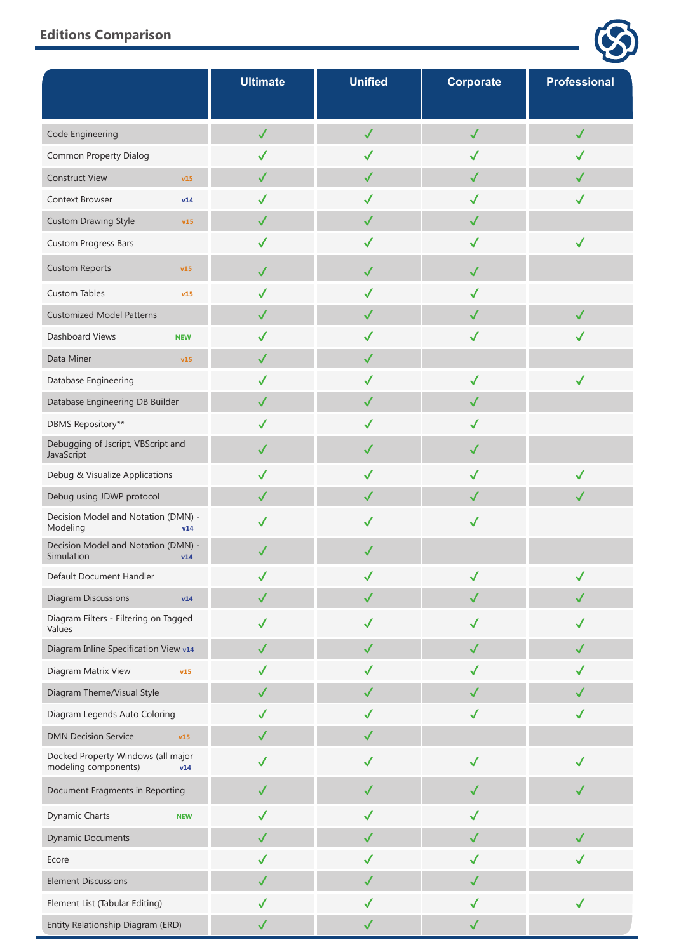|                                                                   | <b>Ultimate</b> | <b>Unified</b> | <b>Corporate</b> | <b>Professional</b> |
|-------------------------------------------------------------------|-----------------|----------------|------------------|---------------------|
| Code Engineering                                                  | $\checkmark$    | $\checkmark$   | $\checkmark$     | $\checkmark$        |
| Common Property Dialog                                            | $\checkmark$    | $\checkmark$   | ✓                | ✓                   |
| <b>Construct View</b><br>v15                                      | $\checkmark$    | $\checkmark$   | $\checkmark$     | $\checkmark$        |
| Context Browser<br>v14                                            | $\checkmark$    | $\checkmark$   | ✓                | ✓                   |
| <b>Custom Drawing Style</b><br>v15                                | $\checkmark$    | $\checkmark$   | $\checkmark$     |                     |
| <b>Custom Progress Bars</b>                                       | $\checkmark$    | $\checkmark$   | $\checkmark$     | $\checkmark$        |
| <b>Custom Reports</b><br>v15                                      | $\checkmark$    | $\checkmark$   | $\checkmark$     |                     |
| <b>Custom Tables</b><br>v15                                       | $\checkmark$    | $\checkmark$   | $\checkmark$     |                     |
| <b>Customized Model Patterns</b>                                  | $\checkmark$    | $\checkmark$   | $\checkmark$     | $\checkmark$        |
| Dashboard Views<br><b>NEW</b>                                     | $\checkmark$    | $\checkmark$   | $\checkmark$     | ✓                   |
| Data Miner<br>v15                                                 | $\checkmark$    | $\checkmark$   |                  |                     |
| Database Engineering                                              | $\checkmark$    | $\checkmark$   | $\checkmark$     | $\checkmark$        |
| Database Engineering DB Builder                                   | $\checkmark$    | $\checkmark$   | $\checkmark$     |                     |
| DBMS Repository**                                                 | ✓               | $\checkmark$   | $\checkmark$     |                     |
| Debugging of Jscript, VBScript and<br>JavaScript                  | $\checkmark$    | $\checkmark$   | $\checkmark$     |                     |
| Debug & Visualize Applications                                    | $\checkmark$    | $\checkmark$   | $\checkmark$     | $\checkmark$        |
| Debug using JDWP protocol                                         | $\checkmark$    | $\checkmark$   | $\checkmark$     | $\checkmark$        |
| Decision Model and Notation (DMN) -<br>Modeling<br>v14            | $\checkmark$    | $\checkmark$   | $\checkmark$     |                     |
| Decision Model and Notation (DMN) -<br>Simulation<br>v14          | $\checkmark$    | $\checkmark$   |                  |                     |
| Default Document Handler                                          |                 |                |                  |                     |
| <b>Diagram Discussions</b><br>v14                                 | $\checkmark$    | $\checkmark$   | $\checkmark$     |                     |
| Diagram Filters - Filtering on Tagged<br>Values                   | ✓               | ✓              | √                | ✓                   |
| Diagram Inline Specification View v14                             | $\checkmark$    | $\checkmark$   | $\checkmark$     | $\checkmark$        |
| Diagram Matrix View<br>v15                                        | $\checkmark$    | $\checkmark$   | $\checkmark$     | ✓                   |
| Diagram Theme/Visual Style                                        | $\checkmark$    | $\checkmark$   | $\checkmark$     | $\checkmark$        |
| Diagram Legends Auto Coloring                                     | $\checkmark$    | $\checkmark$   | $\checkmark$     | $\checkmark$        |
| <b>DMN Decision Service</b><br>v15                                | $\checkmark$    | $\checkmark$   |                  |                     |
| Docked Property Windows (all major<br>modeling components)<br>v14 | $\checkmark$    | $\checkmark$   | $\checkmark$     | $\checkmark$        |
| Document Fragments in Reporting                                   | $\checkmark$    | $\checkmark$   | $\checkmark$     | $\checkmark$        |
| Dynamic Charts<br><b>NEW</b>                                      | $\checkmark$    | $\checkmark$   | $\checkmark$     |                     |
| <b>Dynamic Documents</b>                                          | $\checkmark$    | $\checkmark$   | $\checkmark$     | $\checkmark$        |
| Ecore                                                             | $\checkmark$    | $\checkmark$   | $\checkmark$     | ✓                   |
| <b>Element Discussions</b>                                        | $\checkmark$    | $\checkmark$   | $\checkmark$     |                     |
| Element List (Tabular Editing)                                    | $\checkmark$    | $\checkmark$   | $\checkmark$     | $\checkmark$        |
| Entity Relationship Diagram (ERD)                                 | $\checkmark$    | $\checkmark$   | $\checkmark$     |                     |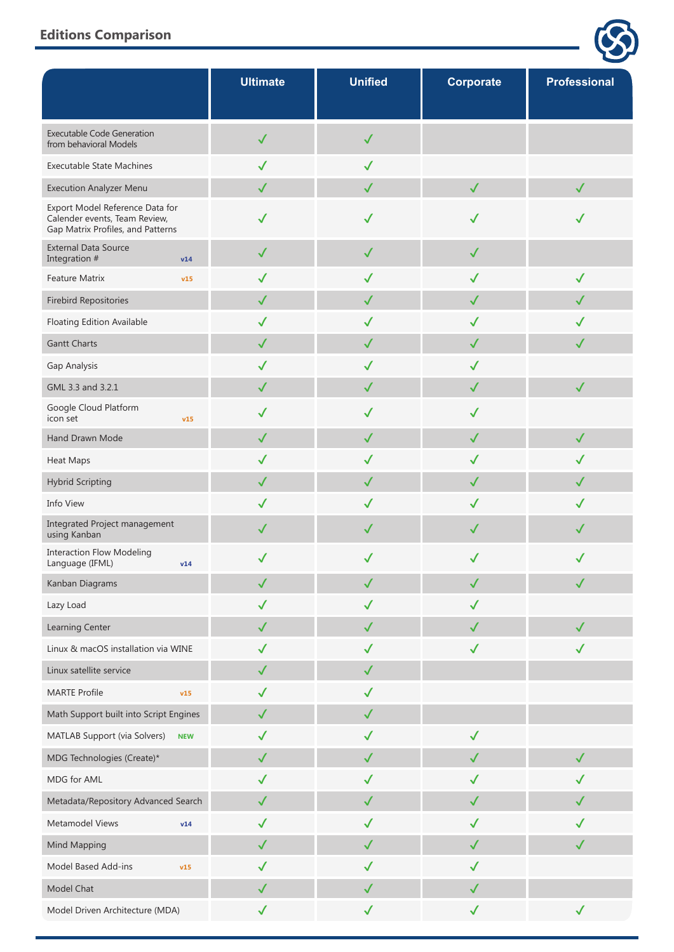|                                                                                                       | <b>Ultimate</b> | <b>Unified</b> | <b>Corporate</b> | <b>Professional</b> |
|-------------------------------------------------------------------------------------------------------|-----------------|----------------|------------------|---------------------|
| <b>Executable Code Generation</b><br>from behavioral Models                                           | $\checkmark$    | ✓              |                  |                     |
| <b>Executable State Machines</b>                                                                      | $\checkmark$    | $\checkmark$   |                  |                     |
| <b>Execution Analyzer Menu</b>                                                                        | $\checkmark$    | $\checkmark$   | $\checkmark$     | $\checkmark$        |
| Export Model Reference Data for<br>Calender events, Team Review,<br>Gap Matrix Profiles, and Patterns |                 | $\checkmark$   | ✓                |                     |
| <b>External Data Source</b><br>Integration #<br>v14                                                   | $\checkmark$    | $\checkmark$   | $\checkmark$     |                     |
| <b>Feature Matrix</b><br>v15                                                                          | $\checkmark$    | $\checkmark$   | $\checkmark$     | $\checkmark$        |
| <b>Firebird Repositories</b>                                                                          | $\checkmark$    | $\checkmark$   | $\checkmark$     | $\checkmark$        |
| Floating Edition Available                                                                            | $\checkmark$    | $\checkmark$   | $\checkmark$     | √                   |
| <b>Gantt Charts</b>                                                                                   | $\checkmark$    | $\checkmark$   | $\checkmark$     | $\checkmark$        |
| Gap Analysis                                                                                          | $\checkmark$    | $\checkmark$   | $\checkmark$     |                     |
| GML 3.3 and 3.2.1                                                                                     | $\checkmark$    | $\checkmark$   | $\checkmark$     | $\checkmark$        |
| Google Cloud Platform<br>icon set<br>v15                                                              | $\checkmark$    | $\checkmark$   | $\checkmark$     |                     |
| Hand Drawn Mode                                                                                       | $\checkmark$    | $\checkmark$   | $\checkmark$     | $\checkmark$        |
| <b>Heat Maps</b>                                                                                      | $\checkmark$    | $\checkmark$   | $\checkmark$     | $\checkmark$        |
| <b>Hybrid Scripting</b>                                                                               | $\checkmark$    | $\checkmark$   | $\checkmark$     | $\checkmark$        |
| Info View                                                                                             | $\checkmark$    | $\checkmark$   | $\checkmark$     | $\checkmark$        |
| Integrated Project management<br>using Kanban                                                         | $\checkmark$    | $\checkmark$   | $\checkmark$     | $\checkmark$        |
| <b>Interaction Flow Modeling</b><br>Language (IFML)<br>v14                                            |                 | $\checkmark$   | $\checkmark$     | ✓                   |
| Kanban Diagrams                                                                                       | $\checkmark$    | $\checkmark$   | $\checkmark$     | $\checkmark$        |
| Lazy Load                                                                                             | ✓               | $\checkmark$   | ✓                |                     |
| Learning Center                                                                                       | $\checkmark$    | $\checkmark$   | $\checkmark$     | $\checkmark$        |
| Linux & macOS installation via WINE                                                                   | $\checkmark$    | $\checkmark$   | $\checkmark$     | $\checkmark$        |
| Linux satellite service                                                                               | $\checkmark$    | $\checkmark$   |                  |                     |
| <b>MARTE Profile</b><br>v15                                                                           | $\checkmark$    | $\checkmark$   |                  |                     |
| Math Support built into Script Engines                                                                | $\checkmark$    | $\checkmark$   |                  |                     |
| MATLAB Support (via Solvers)<br><b>NEW</b>                                                            | $\checkmark$    | $\checkmark$   | $\checkmark$     |                     |
| MDG Technologies (Create)*                                                                            | $\checkmark$    | $\checkmark$   | $\checkmark$     | $\checkmark$        |
| MDG for AML                                                                                           | $\checkmark$    | $\checkmark$   | $\checkmark$     | $\checkmark$        |
| Metadata/Repository Advanced Search                                                                   | $\checkmark$    | $\checkmark$   | $\checkmark$     |                     |
| Metamodel Views<br>v14                                                                                | $\checkmark$    | $\checkmark$   | $\checkmark$     | $\checkmark$        |
| Mind Mapping                                                                                          | $\checkmark$    | $\checkmark$   | $\checkmark$     | $\checkmark$        |
| Model Based Add-ins<br>v15                                                                            | $\checkmark$    | $\checkmark$   | $\checkmark$     |                     |
| Model Chat                                                                                            | $\checkmark$    | $\checkmark$   | $\checkmark$     |                     |
| Model Driven Architecture (MDA)                                                                       | $\checkmark$    | $\checkmark$   | $\checkmark$     | $\checkmark$        |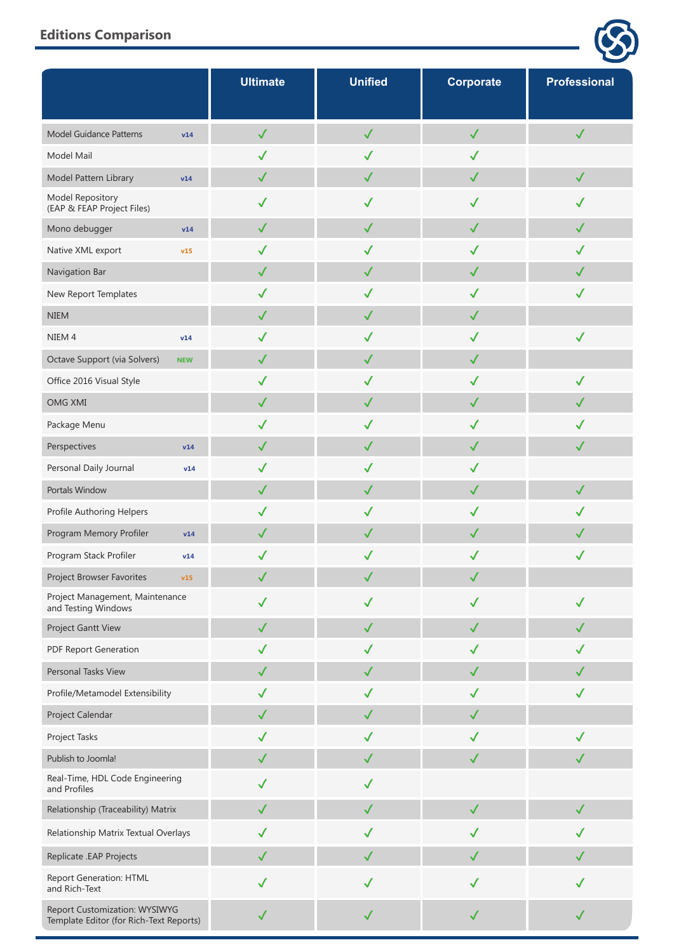|                                                                          | <b>Ultimate</b> | <b>Unified</b> | Corporate    | <b>Professional</b> |
|--------------------------------------------------------------------------|-----------------|----------------|--------------|---------------------|
| Model Guidance Patterns<br>v14                                           | $\checkmark$    | $\checkmark$   | $\checkmark$ | $\checkmark$        |
| Model Mail                                                               | $\checkmark$    | $\checkmark$   | $\checkmark$ |                     |
| Model Pattern Library<br>v14                                             | $\checkmark$    | $\checkmark$   | $\checkmark$ | $\checkmark$        |
| Model Repository<br>(EAP & FEAP Project Files)                           | $\checkmark$    | $\checkmark$   | $\checkmark$ | $\checkmark$        |
| Mono debugger<br>v14                                                     | $\checkmark$    | $\checkmark$   | $\checkmark$ | $\checkmark$        |
| Native XML export<br>v15                                                 | $\checkmark$    | $\checkmark$   | $\checkmark$ | $\checkmark$        |
| Navigation Bar                                                           | $\checkmark$    | $\checkmark$   | $\checkmark$ | $\checkmark$        |
| New Report Templates                                                     | $\checkmark$    | $\checkmark$   | $\checkmark$ | $\checkmark$        |
| <b>NIEM</b>                                                              | $\checkmark$    | $\checkmark$   | $\checkmark$ |                     |
| NIEM <sub>4</sub><br>v14                                                 | $\checkmark$    | $\checkmark$   | $\checkmark$ | $\checkmark$        |
| Octave Support (via Solvers)<br><b>NEW</b>                               | $\checkmark$    | $\checkmark$   | $\checkmark$ |                     |
| Office 2016 Visual Style                                                 | $\checkmark$    | $\checkmark$   | $\checkmark$ | $\checkmark$        |
| <b>OMG XMI</b>                                                           | $\checkmark$    | $\checkmark$   | $\checkmark$ | $\checkmark$        |
| Package Menu                                                             | $\checkmark$    | $\checkmark$   | $\checkmark$ | $\checkmark$        |
| Perspectives<br>v14                                                      | $\checkmark$    | $\checkmark$   | $\checkmark$ | $\checkmark$        |
| Personal Daily Journal<br>v14                                            | $\checkmark$    | $\checkmark$   | $\checkmark$ |                     |
| Portals Window                                                           | $\checkmark$    | $\checkmark$   | $\checkmark$ | $\checkmark$        |
| Profile Authoring Helpers                                                | $\checkmark$    | $\checkmark$   | $\checkmark$ | $\checkmark$        |
| Program Memory Profiler<br>v14                                           | $\checkmark$    | ✓              | $\checkmark$ | $\checkmark$        |
| Program Stack Profiler<br>v14                                            | $\checkmark$    | $\checkmark$   | $\checkmark$ | $\checkmark$        |
| Project Browser Favorites<br>v15                                         | $\checkmark$    | $\checkmark$   | $\checkmark$ |                     |
| Project Management, Maintenance<br>and Testing Windows                   | $\checkmark$    | $\checkmark$   | $\checkmark$ | $\checkmark$        |
| Project Gantt View                                                       | $\checkmark$    | $\checkmark$   | $\checkmark$ | $\checkmark$        |
| PDF Report Generation                                                    | $\checkmark$    | $\checkmark$   | $\checkmark$ | $\checkmark$        |
| Personal Tasks View                                                      | $\checkmark$    | $\checkmark$   | $\checkmark$ | $\checkmark$        |
| Profile/Metamodel Extensibility                                          | $\checkmark$    | $\checkmark$   | $\checkmark$ | $\checkmark$        |
| Project Calendar                                                         | $\checkmark$    | $\checkmark$   | $\checkmark$ |                     |
| Project Tasks                                                            | $\checkmark$    | $\checkmark$   | $\checkmark$ | $\checkmark$        |
| Publish to Joomla!                                                       | $\checkmark$    | $\checkmark$   | $\checkmark$ | $\checkmark$        |
| Real-Time, HDL Code Engineering<br>and Profiles                          | $\checkmark$    | $\checkmark$   |              |                     |
| Relationship (Traceability) Matrix                                       | $\checkmark$    | $\checkmark$   | $\checkmark$ | $\checkmark$        |
| Relationship Matrix Textual Overlays                                     | $\checkmark$    | $\checkmark$   | $\checkmark$ | $\checkmark$        |
| Replicate .EAP Projects                                                  | $\checkmark$    | $\checkmark$   | $\checkmark$ | $\checkmark$        |
| <b>Report Generation: HTML</b><br>and Rich-Text                          | $\checkmark$    | $\checkmark$   | $\checkmark$ | $\checkmark$        |
| Report Customization: WYSIWYG<br>Template Editor (for Rich-Text Reports) | $\checkmark$    | $\checkmark$   | $\checkmark$ | $\checkmark$        |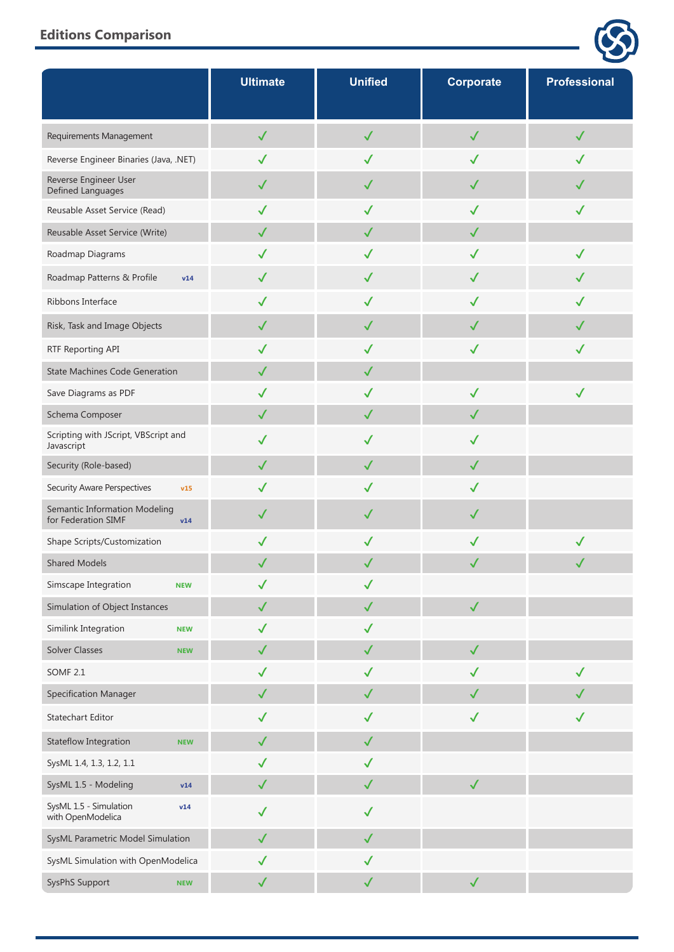|                                                             | <b>Ultimate</b> | <b>Unified</b> | <b>Corporate</b> | <b>Professional</b> |
|-------------------------------------------------------------|-----------------|----------------|------------------|---------------------|
| Requirements Management                                     | $\checkmark$    | $\checkmark$   | $\checkmark$     | $\checkmark$        |
| Reverse Engineer Binaries (Java, .NET)                      | $\checkmark$    | $\checkmark$   | $\checkmark$     | $\checkmark$        |
| Reverse Engineer User<br>Defined Languages                  | $\checkmark$    | $\checkmark$   | $\checkmark$     | $\checkmark$        |
| Reusable Asset Service (Read)                               | $\checkmark$    | $\checkmark$   | $\checkmark$     | $\checkmark$        |
| Reusable Asset Service (Write)                              | $\checkmark$    | $\checkmark$   | $\checkmark$     |                     |
| Roadmap Diagrams                                            | $\checkmark$    | $\checkmark$   | $\checkmark$     | $\checkmark$        |
| Roadmap Patterns & Profile<br>v14                           | $\checkmark$    | $\checkmark$   | $\checkmark$     | $\checkmark$        |
| Ribbons Interface                                           | $\checkmark$    | $\checkmark$   | $\checkmark$     | $\checkmark$        |
| Risk, Task and Image Objects                                | $\checkmark$    | $\checkmark$   | $\checkmark$     | $\checkmark$        |
| RTF Reporting API                                           | $\checkmark$    | $\checkmark$   | $\checkmark$     | $\checkmark$        |
| <b>State Machines Code Generation</b>                       | $\checkmark$    | $\checkmark$   |                  |                     |
| Save Diagrams as PDF                                        | $\checkmark$    | $\checkmark$   | $\checkmark$     | $\checkmark$        |
| Schema Composer                                             | $\checkmark$    | $\checkmark$   | $\checkmark$     |                     |
| Scripting with JScript, VBScript and<br>Javascript          | $\checkmark$    | $\checkmark$   | $\checkmark$     |                     |
| Security (Role-based)                                       | $\checkmark$    | $\checkmark$   | $\checkmark$     |                     |
| Security Aware Perspectives<br>v15                          | $\checkmark$    | $\checkmark$   | $\checkmark$     |                     |
| Semantic Information Modeling<br>for Federation SIMF<br>v14 | $\checkmark$    | $\checkmark$   | $\checkmark$     |                     |
| Shape Scripts/Customization                                 | $\checkmark$    | $\checkmark$   | $\checkmark$     | $\checkmark$        |
| <b>Shared Models</b>                                        |                 | $\checkmark$   | $\checkmark$     |                     |
| Simscape Integration<br><b>NEW</b>                          | $\checkmark$    | $\checkmark$   |                  |                     |
| Simulation of Object Instances                              | $\checkmark$    | $\checkmark$   | $\checkmark$     |                     |
| Similink Integration<br><b>NEW</b>                          | $\checkmark$    | $\checkmark$   |                  |                     |
| Solver Classes<br><b>NEW</b>                                | $\checkmark$    | $\checkmark$   | $\checkmark$     |                     |
| <b>SOMF 2.1</b>                                             | $\checkmark$    | $\checkmark$   | $\checkmark$     | $\checkmark$        |
| <b>Specification Manager</b>                                | $\checkmark$    | $\checkmark$   | $\checkmark$     |                     |
| Statechart Editor                                           | $\checkmark$    | $\checkmark$   | $\checkmark$     | $\checkmark$        |
| Stateflow Integration<br><b>NEW</b>                         | $\checkmark$    | $\checkmark$   |                  |                     |
| SysML 1.4, 1.3, 1.2, 1.1                                    | $\checkmark$    | $\checkmark$   |                  |                     |
| SysML 1.5 - Modeling<br>v14                                 | $\checkmark$    | $\checkmark$   | $\checkmark$     |                     |
| SysML 1.5 - Simulation<br>v14<br>with OpenModelica          | $\checkmark$    | $\checkmark$   |                  |                     |
| SysML Parametric Model Simulation                           | $\checkmark$    | $\checkmark$   |                  |                     |
| SysML Simulation with OpenModelica                          | $\checkmark$    | $\checkmark$   |                  |                     |
| SysPhS Support<br><b>NEW</b>                                | $\checkmark$    | $\checkmark$   | $\checkmark$     |                     |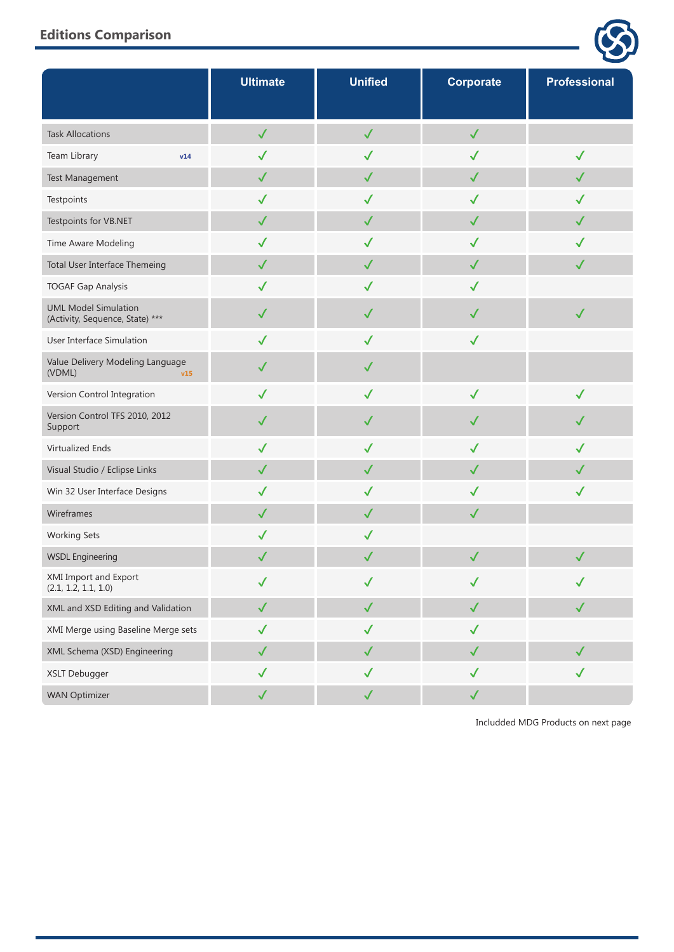|                                                                | <b>Ultimate</b> | <b>Unified</b> | Corporate    | <b>Professional</b> |
|----------------------------------------------------------------|-----------------|----------------|--------------|---------------------|
| <b>Task Allocations</b>                                        | $\checkmark$    | $\checkmark$   | $\checkmark$ |                     |
| Team Library<br>v14                                            | $\checkmark$    | $\checkmark$   | $\checkmark$ | $\checkmark$        |
| Test Management                                                | $\checkmark$    | $\checkmark$   | $\checkmark$ | $\checkmark$        |
| Testpoints                                                     | $\checkmark$    | $\checkmark$   | $\checkmark$ | $\checkmark$        |
| Testpoints for VB.NET                                          | $\checkmark$    | $\checkmark$   | $\checkmark$ | $\checkmark$        |
| Time Aware Modeling                                            | $\checkmark$    | $\checkmark$   | ✓            | $\checkmark$        |
| Total User Interface Themeing                                  | $\checkmark$    | $\checkmark$   | $\checkmark$ | $\checkmark$        |
| <b>TOGAF Gap Analysis</b>                                      | $\checkmark$    | $\checkmark$   | $\checkmark$ |                     |
| <b>UML Model Simulation</b><br>(Activity, Sequence, State) *** | $\checkmark$    | $\checkmark$   | $\checkmark$ | $\checkmark$        |
| User Interface Simulation                                      | $\checkmark$    | $\checkmark$   | $\checkmark$ |                     |
| Value Delivery Modeling Language<br>(VDML)<br>v15              | $\checkmark$    | $\checkmark$   |              |                     |
| Version Control Integration                                    | $\checkmark$    | $\checkmark$   | $\checkmark$ | $\checkmark$        |
| Version Control TFS 2010, 2012<br>Support                      | $\checkmark$    | $\checkmark$   | $\checkmark$ | $\checkmark$        |
| Virtualized Ends                                               | $\checkmark$    | $\checkmark$   | $\checkmark$ | $\checkmark$        |
| Visual Studio / Eclipse Links                                  | $\checkmark$    | $\checkmark$   | $\checkmark$ | $\checkmark$        |
| Win 32 User Interface Designs                                  | $\checkmark$    | $\checkmark$   | $\checkmark$ | $\checkmark$        |
| Wireframes                                                     | $\checkmark$    | $\checkmark$   | $\checkmark$ |                     |
| <b>Working Sets</b>                                            | ✓               | $\checkmark$   |              |                     |
| <b>WSDL Engineering</b>                                        | $\checkmark$    | $\checkmark$   | $\checkmark$ | $\checkmark$        |
| XMI Import and Export<br>(2.1, 1.2, 1.1, 1.0)                  | $\checkmark$    | $\checkmark$   | $\checkmark$ | $\checkmark$        |
| XML and XSD Editing and Validation                             | $\checkmark$    | $\checkmark$   | $\checkmark$ | $\checkmark$        |
| XMI Merge using Baseline Merge sets                            | $\checkmark$    | $\checkmark$   | $\checkmark$ |                     |
| XML Schema (XSD) Engineering                                   | $\checkmark$    | $\checkmark$   | $\checkmark$ | $\checkmark$        |
| XSLT Debugger                                                  | $\checkmark$    | $\checkmark$   | $\checkmark$ | $\checkmark$        |
| <b>WAN Optimizer</b>                                           | $\checkmark$    | $\checkmark$   | $\checkmark$ |                     |

Includded MDG Products on next page